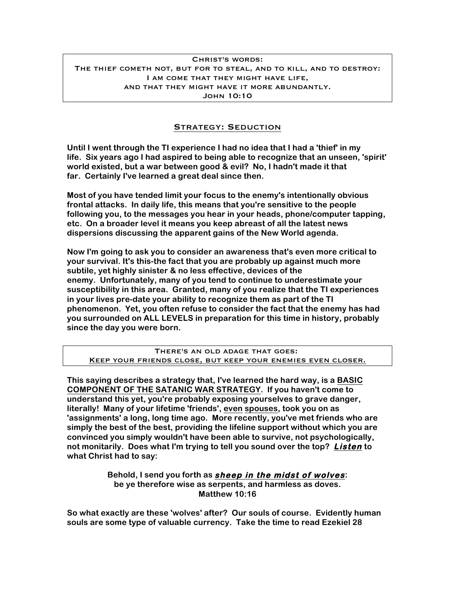## Christ's words: The thief cometh not, but for to steal, and to kill, and to destroy: I am come that they might have life, and that they might have it more abundantly. John 10:10

## Strategy: Seduction

**Until I went through the TI experience I had no idea that I had a 'thief' in my life. Six years ago I had aspired to being able to recognize that an unseen, 'spirit' world existed, but a war between good & evil? No, I hadn't made it that far. Certainly I've learned a great deal since then.**

**Most of you have tended limit your focus to the enemy's intentionally obvious frontal attacks. In daily life, this means that you're sensitive to the people following you, to the messages you hear in your heads, phone/computer tapping, etc. On a broader level it means you keep abreast of all the latest news dispersions discussing the apparent gains of the New World agenda.**

**Now I'm going to ask you to consider an awareness that's even more critical to your survival. It's this-the fact that you are probably up against much more subtile, yet highly sinister & no less effective, devices of the enemy. Unfortunately, many of you tend to continue to underestimate your susceptibility in this area. Granted, many of you realize that the TI experiences in your lives pre-date your ability to recognize them as part of the TI phenomenon. Yet, you often refuse to consider the fact that the enemy has had you surrounded on ALL LEVELS in preparation for this time in history, probably since the day you were born.**

There's an old adage that goes: Keep your friends close, but keep your enemies even closer.

**This saying describes a strategy that, I've learned the hard way, is a BASIC COMPONENT OF THE SATANIC WAR STRATEGY. If you haven't come to understand this yet, you're probably exposing yourselves to grave danger, literally! Many of your lifetime 'friends', even spouses, took you on as 'assignments' a long, long time ago. More recently, you've met friends who are simply the best of the best, providing the lifeline support without which you are convinced you simply wouldn't have been able to survive, not psychologically, not monitarily. Does what I'm trying to tell you sound over the top? Listen to what Christ had to say:**

> **Behold, I send you forth as sheep in the midst of wolves: be ye therefore wise as serpents, and harmless as doves. Matthew 10:16**

**So what exactly are these 'wolves' after? Our souls of course. Evidently human souls are some type of valuable currency. Take the time to read Ezekiel 28**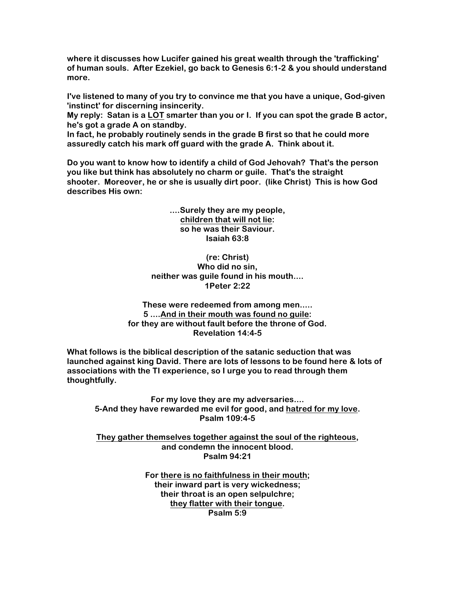**where it discusses how Lucifer gained his great wealth through the 'trafficking' of human souls. After Ezekiel, go back to Genesis 6:1-2 & you should understand more.**

**I've listened to many of you try to convince me that you have a unique, God-given 'instinct' for discerning insincerity.**

**My reply: Satan is a LOT smarter than you or I. If you can spot the grade B actor, he's got a grade A on standby.**

**In fact, he probably routinely sends in the grade B first so that he could more assuredly catch his mark off guard with the grade A. Think about it.**

**Do you want to know how to identify a child of God Jehovah? That's the person you like but think has absolutely no charm or guile. That's the straight shooter. Moreover, he or she is usually dirt poor. (like Christ) This is how God describes His own:**

> **....Surely they are my people, children that will not lie: so he was their Saviour. Isaiah 63:8**

**(re: Christ) Who did no sin, neither was guile found in his mouth.... 1Peter 2:22**

**These were redeemed from among men..... 5 ....And in their mouth was found no guile: for they are without fault before the throne of God. Revelation 14:4-5**

**What follows is the biblical description of the satanic seduction that was launched against king David. There are lots of lessons to be found here & lots of associations with the TI experience, so I urge you to read through them thoughtfully.**

**For my love they are my adversaries.... 5-And they have rewarded me evil for good, and hatred for my love. Psalm 109:4-5**

**They gather themselves together against the soul of the righteous, and condemn the innocent blood. Psalm 94:21**

> **For there is no faithfulness in their mouth; their inward part is very wickedness; their throat is an open selpulchre; they flatter with their tongue. Psalm 5:9**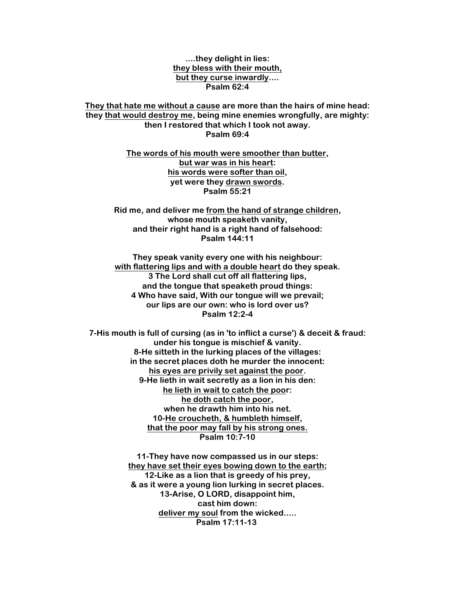**....they delight in lies: they bless with their mouth, but they curse inwardly.... Psalm 62:4**

**They that hate me without a cause are more than the hairs of mine head: they that would destroy me, being mine enemies wrongfully, are mighty: then I restored that which I took not away. Psalm 69:4**

> **The words of his mouth were smoother than butter, but war was in his heart: his words were softer than oil, yet were they drawn swords. Psalm 55:21**

**Rid me, and deliver me from the hand of strange children, whose mouth speaketh vanity, and their right hand is a right hand of falsehood: Psalm 144:11**

**They speak vanity every one with his neighbour: with flattering lips and with a double heart do they speak. 3 The Lord shall cut off all flattering lips, and the tongue that speaketh proud things: 4 Who have said, With our tongue will we prevail; our lips are our own: who is lord over us? Psalm 12:2-4**

**7-His mouth is full of cursing (as in 'to inflict a curse') & deceit & fraud: under his tongue is mischief & vanity. 8-He sitteth in the lurking places of the villages: in the secret places doth he murder the innocent: his eyes are privily set against the poor. 9-He lieth in wait secretly as a lion in his den: he lieth in wait to catch the poor: he doth catch the poor, when he drawth him into his net. 10-He croucheth, & humbleth himself, that the poor may fall by his strong ones. Psalm 10:7-10**

> **11-They have now compassed us in our steps: they have set their eyes bowing down to the earth; 12-Like as a lion that is greedy of his prey, & as it were a young lion lurking in secret places. 13-Arise, O LORD, disappoint him, cast him down: deliver my soul from the wicked..... Psalm 17:11-13**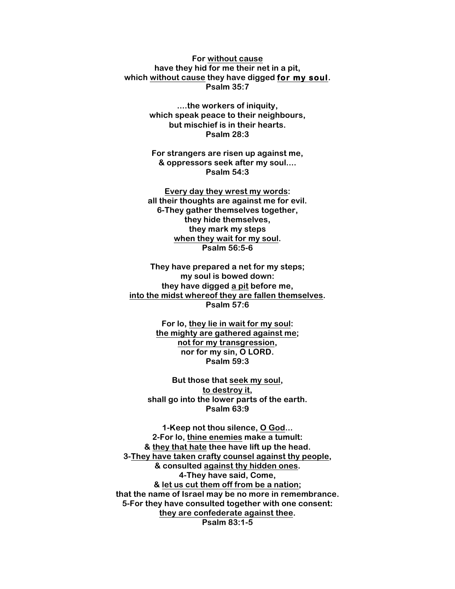**For without cause have they hid for me their net in a pit, which without cause they have digged for my soul. Psalm 35:7**

> **....the workers of iniquity, which speak peace to their neighbours, but mischief is in their hearts. Psalm 28:3**

**For strangers are risen up against me, & oppressors seek after my soul.... Psalm 54:3**

**Every day they wrest my words: all their thoughts are against me for evil. 6-They gather themselves together, they hide themselves, they mark my steps when they wait for my soul. Psalm 56:5-6**

**They have prepared a net for my steps; my soul is bowed down: they have digged a pit before me, into the midst whereof they are fallen themselves. Psalm 57:6**

> **For lo, they lie in wait for my soul: the mighty are gathered against me; not for my transgression, nor for my sin, O LORD. Psalm 59:3**

**But those that seek my soul, to destroy it, shall go into the lower parts of the earth. Psalm 63:9**

**1-Keep not thou silence, O God... 2-For lo, thine enemies make a tumult: & they that hate thee have lift up the head. 3-They have taken crafty counsel against thy people, & consulted against thy hidden ones. 4-They have said, Come, & let us cut them off from be a nation; that the name of Israel may be no more in remembrance. 5-For they have consulted together with one consent: they are confederate against thee. Psalm 83:1-5**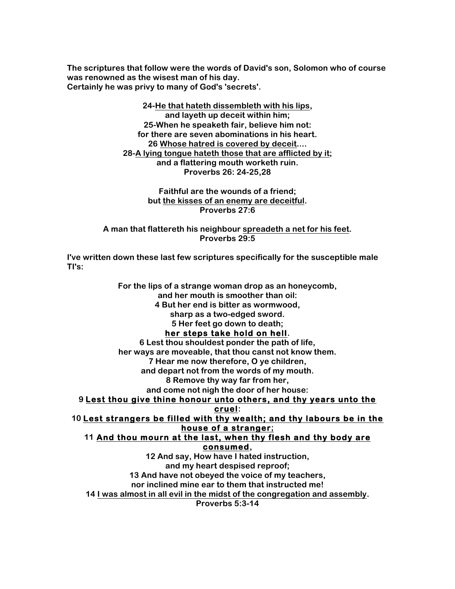**The scriptures that follow were the words of David's son, Solomon who of course was renowned as the wisest man of his day. Certainly he was privy to many of God's 'secrets'.**

> **24-He that hateth dissembleth with his lips, and layeth up deceit within him; 25-When he speaketh fair, believe him not: for there are seven abominations in his heart. 26 Whose hatred is covered by deceit.... 28-A lying tongue hateth those that are afflicted by it; and a flattering mouth worketh ruin. Proverbs 26: 24-25,28**

> > **Faithful are the wounds of a friend; but the kisses of an enemy are deceitful. Proverbs 27:6**

**A man that flattereth his neighbour spreadeth a net for his feet. Proverbs 29:5**

**I've written down these last few scriptures specifically for the susceptible male TI's:**

**For the lips of a strange woman drop as an honeycomb, and her mouth is smoother than oil: 4 But her end is bitter as wormwood, sharp as a two-edged sword. 5 Her feet go down to death; her steps take hold on hell. 6 Lest thou shouldest ponder the path of life, her ways are moveable, that thou canst not know them. 7 Hear me now therefore, O ye children, and depart not from the words of my mouth. 8 Remove thy way far from her, and come not nigh the door of her house: 9 Lest thou give thine honour unto others, and thy years unto the cruel: 10 Lest strangers be filled with thy wealth; and thy labours be in the house of a stranger; 11 And thou mourn at the last, when thy flesh and thy body are consumed, 12 And say, How have I hated instruction, and my heart despised reproof; 13 And have not obeyed the voice of my teachers, nor inclined mine ear to them that instructed me! 14 I was almost in all evil in the midst of the congregation and assembly.**

**Proverbs 5:3-14**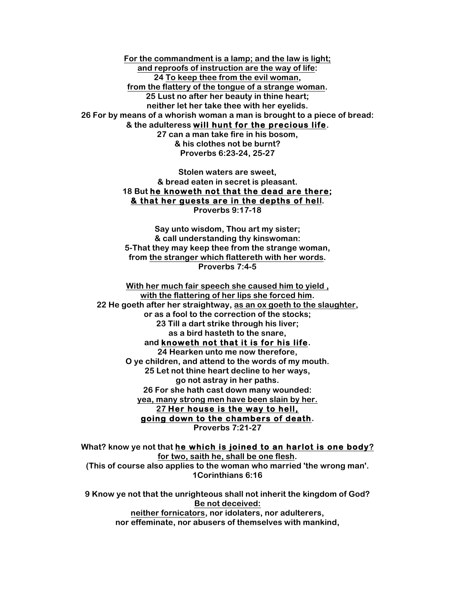**For the commandment is a lamp; and the law is light; and reproofs of instruction are the way of life: 24 To keep thee from the evil woman, from the flattery of the tongue of a strange woman. 25 Lust no after her beauty in thine heart; neither let her take thee with her eyelids. 26 For by means of a whorish woman a man is brought to a piece of bread: & the adulteress will hunt for the precious life.**

**27 can a man take fire in his bosom, & his clothes not be burnt? Proverbs 6:23-24, 25-27**

**Stolen waters are sweet, & bread eaten in secret is pleasant. 18 But he knoweth not that the dead are there; & that her guests are in the depths of hell. Proverbs 9:17-18**

**Say unto wisdom, Thou art my sister; & call understanding thy kinswoman: 5-That they may keep thee from the strange woman, from the stranger which flattereth with her words. Proverbs 7:4-5**

**With her much fair speech she caused him to yield , with the flattering of her lips she forced him. 22 He goeth after her straightway, as an ox goeth to the slaughter, or as a fool to the correction of the stocks; 23 Till a dart strike through his liver; as a bird hasteth to the snare, and knoweth not that it is for his life. 24 Hearken unto me now therefore, O ye children, and attend to the words of my mouth. 25 Let not thine heart decline to her ways, go not astray in her paths. 26 For she hath cast down many wounded: yea, many strong men have been slain by her. 27 Her house is the way to hell, going down to the chambers of death. Proverbs 7:21-27**

**What? know ye not that he which is joined to an harlot is one body? for two, saith he, shall be one flesh. (This of course also applies to the woman who married 'the wrong man'. 1Corinthians 6:16**

**9 Know ye not that the unrighteous shall not inherit the kingdom of God? Be not deceived: neither fornicators, nor idolaters, nor adulterers, nor effeminate, nor abusers of themselves with mankind,**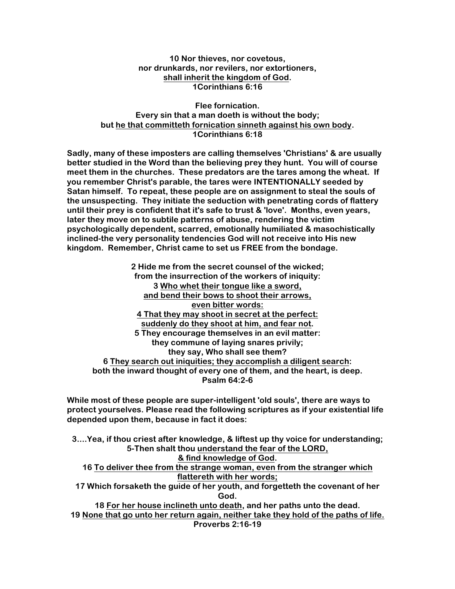**10 Nor thieves, nor covetous, nor drunkards, nor revilers, nor extortioners, shall inherit the kingdom of God. 1Corinthians 6:16**

**Flee fornication. Every sin that a man doeth is without the body; but he that committeth fornication sinneth against his own body. 1Corinthians 6:18**

**Sadly, many of these imposters are calling themselves 'Christians' & are usually better studied in the Word than the believing prey they hunt. You will of course meet them in the churches. These predators are the tares among the wheat. If you remember Christ's parable, the tares were INTENTIONALLY seeded by Satan himself. To repeat, these people are on assignment to steal the souls of the unsuspecting. They initiate the seduction with penetrating cords of flattery until their prey is confident that it's safe to trust & 'love'. Months, even years, later they move on to subtile patterns of abuse, rendering the victim psychologically dependent, scarred, emotionally humiliated & masochistically inclined-the very personality tendencies God will not receive into His new kingdom. Remember, Christ came to set us FREE from the bondage.**

**2 Hide me from the secret counsel of the wicked; from the insurrection of the workers of iniquity: 3 Who whet their tongue like a sword, and bend their bows to shoot their arrows, even bitter words: 4 That they may shoot in secret at the perfect: suddenly do they shoot at him, and fear not. 5 They encourage themselves in an evil matter: they commune of laying snares privily; they say, Who shall see them? 6 They search out iniquities; they accomplish a diligent search: both the inward thought of every one of them, and the heart, is deep. Psalm 64:2-6**

**While most of these people are super-intelligent 'old souls', there are ways to protect yourselves. Please read the following scriptures as if your existential life depended upon them, because in fact it does:**

**3....Yea, if thou criest after knowledge, & liftest up thy voice for understanding; 5-Then shalt thou understand the fear of the LORD, & find knowledge of God. 16 To deliver thee from the strange woman, even from the stranger which flattereth with her words; 17 Which forsaketh the guide of her youth, and forgetteth the covenant of her God. 18 For her house inclineth unto death, and her paths unto the dead. 19 None that go unto her return again, neither take they hold of the paths of life. Proverbs 2:16-19**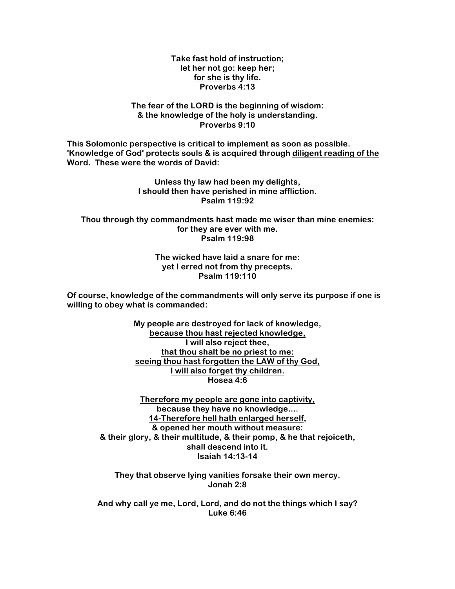**Take fast hold of instruction; let her not go: keep her; for she is thy life. Proverbs 4:13**

## **The fear of the LORD is the beginning of wisdom: & the knowledge of the holy is understanding. Proverbs 9:10**

**This Solomonic perspective is critical to implement as soon as possible. 'Knowledge of God' protects souls & is acquired through diligent reading of the Word. These were the words of David:**

> **Unless thy law had been my delights, I should then have perished in mine affliction. Psalm 119:92**

**Thou through thy commandments hast made me wiser than mine enemies: for they are ever with me. Psalm 119:98**

> **The wicked have laid a snare for me: yet I erred not from thy precepts. Psalm 119:110**

**Of course, knowledge of the commandments will only serve its purpose if one is willing to obey what is commanded:**

> **My people are destroyed for lack of knowledge, because thou hast rejected knowledge, I will also reject thee, that thou shalt be no priest to me: seeing thou hast forgotten the LAW of thy God, I will also forget thy children. Hosea 4:6**

**Therefore my people are gone into captivity, because they have no knowledge.... 14-Therefore hell hath enlarged herself, & opened her mouth without measure: & their glory, & their multitude, & their pomp, & he that rejoiceth, shall descend into it. Isaiah 14:13-14**

**They that observe lying vanities forsake their own mercy. Jonah 2:8**

**And why call ye me, Lord, Lord, and do not the things which I say? Luke 6:46**